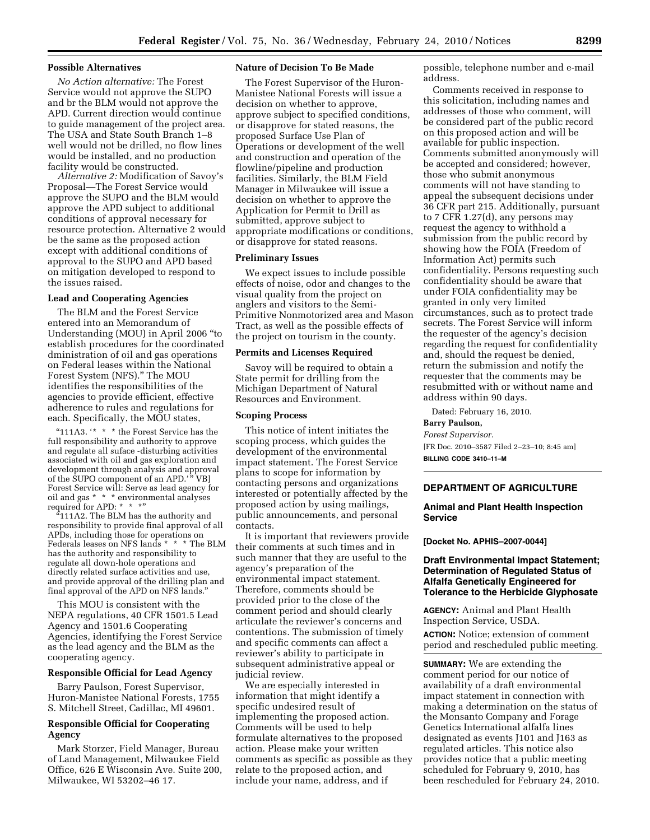### **Possible Alternatives**

*No Action alternative:* The Forest Service would not approve the SUPO and br the BLM would not approve the APD. Current direction would continue to guide management of the project area. The USA and State South Branch 1–8 well would not be drilled, no flow lines would be installed, and no production facility would be constructed.

*Alternative 2:* Modification of Savoy's Proposal—The Forest Service would approve the SUPO and the BLM would approve the APD subject to additional conditions of approval necessary for resource protection. Alternative 2 would be the same as the proposed action except with additional conditions of approval to the SUPO and APD based on mitigation developed to respond to the issues raised.

#### **Lead and Cooperating Agencies**

The BLM and the Forest Service entered into an Memorandum of Understanding (MOU) in April 2006 ''to establish procedures for the coordinated dministration of oil and gas operations on Federal leases within the National Forest System (NFS).'' The MOU identifies the responsibilities of the agencies to provide efficient, effective adherence to rules and regulations for each. Specifically, the MOU states,

"111A3. '\* \* \* the Forest Service has the full responsibility and authority to approve and regulate all suface -disturbing activities associated with oil and gas exploration and development through analysis and approval of the SUPO component of an APD.'" VB] Forest Service will: Serve as lead agency for oil and gas \* \* \* environmental analyses required for APD: \* \* \*"

''111A2. The BLM has the authority and responsibility to provide final approval of all APDs, including those for operations on Federals leases on NFS lands \* \* \* The BLM has the authority and responsibility to regulate all down-hole operations and directly related surface activities and use, and provide approval of the drilling plan and final approval of the APD on NFS lands.''

This MOU is consistent with the NEPA regulations, 40 CFR 1501.5 Lead Agency and 1501.6 Cooperating Agencies, identifying the Forest Service as the lead agency and the BLM as the cooperating agency.

#### **Responsible Official for Lead Agency**

Barry Paulson, Forest Supervisor, Huron-Manistee National Forests, 1755 S. Mitchell Street, Cadillac, MI 49601.

# **Responsible Official for Cooperating Agency**

Mark Storzer, Field Manager, Bureau of Land Management, Milwaukee Field Office, 626 E Wisconsin Ave. Suite 200, Milwaukee, WI 53202–46 17.

#### **Nature of Decision To Be Made**

The Forest Supervisor of the Huron-Manistee National Forests will issue a decision on whether to approve, approve subject to specified conditions, or disapprove for stated reasons, the proposed Surface Use Plan of Operations or development of the well and construction and operation of the flowline/pipeline and production facilities. Similarly, the BLM Field Manager in Milwaukee will issue a decision on whether to approve the Application for Permit to Drill as submitted, approve subject to appropriate modifications or conditions, or disapprove for stated reasons.

## **Preliminary Issues**

We expect issues to include possible effects of noise, odor and changes to the visual quality from the project on anglers and visitors to the Semi-Primitive Nonmotorized area and Mason Tract, as well as the possible effects of the project on tourism in the county.

## **Permits and Licenses Required**

Savoy will be required to obtain a State permit for drilling from the Michigan Department of Natural Resources and Environment.

# **Scoping Process**

This notice of intent initiates the scoping process, which guides the development of the environmental impact statement. The Forest Service plans to scope for information by contacting persons and organizations interested or potentially affected by the proposed action by using mailings, public announcements, and personal contacts.

It is important that reviewers provide their comments at such times and in such manner that they are useful to the agency's preparation of the environmental impact statement. Therefore, comments should be provided prior to the close of the comment period and should clearly articulate the reviewer's concerns and contentions. The submission of timely and specific comments can affect a reviewer's ability to participate in subsequent administrative appeal or judicial review.

We are especially interested in information that might identify a specific undesired result of implementing the proposed action. Comments will be used to help formulate alternatives to the proposed action. Please make your written comments as specific as possible as they relate to the proposed action, and include your name, address, and if

possible, telephone number and e-mail address.

Comments received in response to this solicitation, including names and addresses of those who comment, will be considered part of the public record on this proposed action and will be available for public inspection. Comments submitted anonymously will be accepted and considered; however, those who submit anonymous comments will not have standing to appeal the subsequent decisions under 36 CFR part 215. Additionally, pursuant to 7 CFR 1.27(d), any persons may request the agency to withhold a submission from the public record by showing how the FOIA (Freedom of Information Act) permits such confidentiality. Persons requesting such confidentiality should be aware that under FOIA confidentiality may be granted in only very limited circumstances, such as to protect trade secrets. The Forest Service will inform the requester of the agency's decision regarding the request for confidentiality and, should the request be denied, return the submission and notify the requester that the comments may be resubmitted with or without name and address within 90 days.

Dated: February 16, 2010.

# **Barry Paulson,**

*Forest Supervisor.*  [FR Doc. 2010–3587 Filed 2–23–10; 8:45 am] **BILLING CODE 3410–11–M** 

## **DEPARTMENT OF AGRICULTURE**

# **Animal and Plant Health Inspection Service**

#### **[Docket No. APHIS–2007-0044]**

# **Draft Environmental Impact Statement; Determination of Regulated Status of Alfalfa Genetically Engineered for Tolerance to the Herbicide Glyphosate**

**AGENCY:** Animal and Plant Health Inspection Service, USDA.

**ACTION:** Notice; extension of comment period and rescheduled public meeting.

**SUMMARY:** We are extending the comment period for our notice of availability of a draft environmental impact statement in connection with making a determination on the status of the Monsanto Company and Forage Genetics International alfalfa lines designated as events J101 and J163 as regulated articles. This notice also provides notice that a public meeting scheduled for February 9, 2010, has been rescheduled for February 24, 2010.